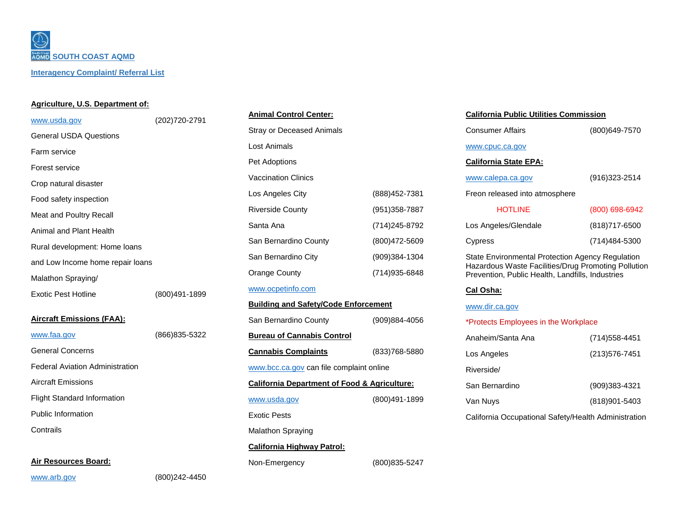*<b>SOUTH COAST AQMD* **Interagency Complaint/ Referral List**

### **Agriculture, U.S. Department of:**

| www.usda.gov                                       | (202)720-2791 | <b>Animal Control Center:</b> |
|----------------------------------------------------|---------------|-------------------------------|
| <b>General USDA Questions</b>                      |               | Stray or Deceased Anima       |
| Farm service                                       |               | Lost Animals                  |
| Forest service                                     |               | Pet Adoptions                 |
| Crop natural disaster                              |               | <b>Vaccination Clinics</b>    |
| Food safety inspection                             |               | Los Angeles City              |
|                                                    |               | <b>Riverside County</b>       |
| Meat and Poultry Recall<br>Animal and Plant Health |               | Santa Ana                     |
|                                                    |               | San Bernardino County         |
| Rural development: Home loans                      |               | San Bernardino City           |
| and Low Income home repair loans                   |               | Orange County                 |
| Malathon Spraying/                                 |               | www.ocpetinfo.com             |
| Exotic Pest Hotline                                | (800)491-1899 |                               |

### **Aircraft Emissions (FAA):**

| www.faa.gov                            | (866) 835-5322 |
|----------------------------------------|----------------|
| <b>General Concerns</b>                |                |
| <b>Federal Aviation Administration</b> |                |
| Aircraft Emissions                     |                |
| <b>Flight Standard Information</b>     |                |
| Public Information                     |                |
| Contrails                              |                |
|                                        |                |

**Air Resources Board:**

| <b>Stray or Deceased Animals</b>                        |                |
|---------------------------------------------------------|----------------|
| <b>Lost Animals</b>                                     |                |
| Pet Adoptions                                           |                |
| <b>Vaccination Clinics</b>                              |                |
| Los Angeles City                                        | (888) 452-7381 |
| <b>Riverside County</b>                                 | (951) 358-7887 |
| Santa Ana                                               | (714) 245-8792 |
| San Bernardino County                                   | (800)472-5609  |
| San Bernardino City                                     | (909)384-1304  |
| <b>Orange County</b>                                    | (714) 935-6848 |
| www.ocpetinfo.com                                       |                |
|                                                         |                |
| <b>Building and Safety/Code Enforcement</b>             |                |
| San Bernardino County                                   | (909)884-4056  |
| <b>Bureau of Cannabis Control</b>                       |                |
| <b>Cannabis Complaints</b>                              | (833) 768-5880 |
| www.bcc.ca.gov can file complaint online                |                |
| <b>California Department of Food &amp; Agriculture:</b> |                |
| www.usda.gov                                            | (800)491-1899  |
| <b>Exotic Pests</b>                                     |                |
| <b>Malathon Spraying</b>                                |                |
| <b>California Highway Patrol:</b>                       |                |

# **California Public Utilities Commission**

| <b>California State EPA:</b> |               |
|------------------------------|---------------|
| www.cpuc.ca.gov              |               |
| Consumer Affairs             | (800)649-7570 |

| www.calepa.ca.gov              | $(916)323 - 2514$ |
|--------------------------------|-------------------|
| Freon released into atmosphere |                   |
| <b>HOTLINE</b>                 | (800) 698-6942    |
| Los Angeles/Glendale           | (818) 717-6500    |
| Cypress                        | (714) 484-5300    |

State Environmental Protection Agency Regulation Hazardous Waste Facilities/Drug Promoting Pollution Prevention, Public Health, Landfills, Industries

### **Cal Osha:**

#### [www.dir.ca.gov](http://www.dir.ca.gov/)

#### \*Protects Employees in the Workplace

| Anaheim/Santa Ana | (714) 558-4451    |
|-------------------|-------------------|
| Los Angeles       | (213) 576-7451    |
| Riverside/        |                   |
| San Bernardino    | $(909)383 - 4321$ |
| Van Nuys          | (818) 901-5403    |
|                   |                   |

California Occupational Safety/Health Administration

[www.arb.gov](http://www.arb.gov/) (800)242-4450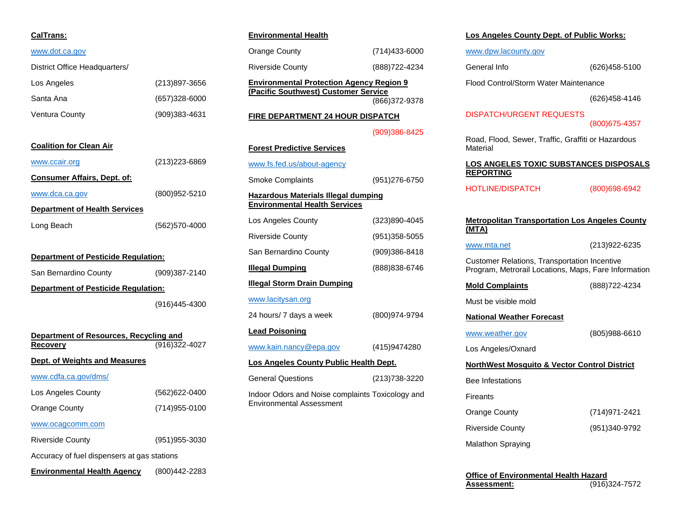## **CalTrans:**

### [www.dot.ca.gov](http://www.dot.ca.gov/)

| District Office Headquarters/ |                   |
|-------------------------------|-------------------|
| Los Angeles                   | (213)897-3656     |
| Santa Ana                     | $(657)328 - 6000$ |
| Ventura County                | (909)383-4631     |

# **Coalition for Clean Air**

| www.ccair.org                        | (213) 223-6869 |
|--------------------------------------|----------------|
| <b>Consumer Affairs, Dept. of:</b>   |                |
| www.dca.ca.gov                       | (800)952-5210  |
| <b>Department of Health Services</b> |                |
| Long Beach                           | (562)570-4000  |

### **Department of Pesticide Regulation:**

| San Bernardino County | (909)387-2140 |
|-----------------------|---------------|
| $\sim$                |               |

# **Department of Pesticide Regulation:**

|  | (916)445-4300 |
|--|---------------|
|--|---------------|

| Department of Resources, Recycling and      |                |  |
|---------------------------------------------|----------------|--|
| Recovery                                    | (916)322-4027  |  |
| Dept. of Weights and Measures               |                |  |
| www.cdfa.ca.gov/dms/                        |                |  |
| Los Angeles County                          | (562)622-0400  |  |
| Orange County                               | (714) 955-0100 |  |
| www.ocagcomm.com                            |                |  |
| <b>Riverside County</b>                     | (951) 955-3030 |  |
| Accuracy of fuel dispensers at gas stations |                |  |

**Environmental Health Agency** (800)442-2283

# **Environmental Health**

| <b>Environmental Protection Agency Region 9</b> |                   |  |
|-------------------------------------------------|-------------------|--|
| Riverside County                                | (888) 722-4234    |  |
| Orange County                                   | $(714)433 - 6000$ |  |

**(Pacific Southwest) Customer Service** (866)372-9378

# **FIRE DEPARTMENT 24 HOUR DISPATCH**

### (909)386-8425

| <b>Forest Predictive Services</b>                                           |  |  |  |  |
|-----------------------------------------------------------------------------|--|--|--|--|
|                                                                             |  |  |  |  |
| (951)276-6750                                                               |  |  |  |  |
| Hazardous Materials Illegal dumping<br><b>Environmental Health Services</b> |  |  |  |  |
| (323)890-4045                                                               |  |  |  |  |
| (951)358-5055                                                               |  |  |  |  |
| (909)386-8418                                                               |  |  |  |  |
| (888)838-6746                                                               |  |  |  |  |
| <b>Illegal Storm Drain Dumping</b>                                          |  |  |  |  |
|                                                                             |  |  |  |  |
| (800)974-9794                                                               |  |  |  |  |
|                                                                             |  |  |  |  |
| (415)9474280                                                                |  |  |  |  |
| Los Angeles County Public Health Dept.                                      |  |  |  |  |
| (213)738-3220                                                               |  |  |  |  |
| Indoor Odors and Noise complaints Toxicology and                            |  |  |  |  |
|                                                                             |  |  |  |  |

### **Los Angeles County Dept. of Public Works:**

[www.dpw.lacounty.gov](http://www.dpw.lacounty.gov/)

General Info (626)458-5100

Flood Control/Storm Water Maintenance

(626)458-4146

# DISPATCH/URGENT REQUESTS

(800)675-4357

Road, Flood, Sewer, Traffic, Graffiti or Hazardous **Material** 

#### **LOS ANGELES TOXIC SUBSTANCES DISPOSALS REPORTING**

HOTLINE/DISPATCH (800)698-6942

| <b>Metropolitan Transportation Los Angeles County</b><br>(MTA)                                              |               |  |  |  |  |
|-------------------------------------------------------------------------------------------------------------|---------------|--|--|--|--|
| www.mta.net                                                                                                 | (213)922-6235 |  |  |  |  |
| <b>Customer Relations, Transportation Incentive</b><br>Program, Metrorail Locations, Maps, Fare Information |               |  |  |  |  |
| <b>Mold Complaints</b>                                                                                      | (888)722-4234 |  |  |  |  |
| Must be visible mold                                                                                        |               |  |  |  |  |
| <b>National Weather Forecast</b>                                                                            |               |  |  |  |  |
| www.weather.gov                                                                                             | (805)988-6610 |  |  |  |  |
| Los Angeles/Oxnard                                                                                          |               |  |  |  |  |
| <b>NorthWest Mosquito &amp; Vector Control District</b>                                                     |               |  |  |  |  |
| <b>Bee Infestations</b>                                                                                     |               |  |  |  |  |
| Fireants                                                                                                    |               |  |  |  |  |
| Orange County                                                                                               | (714)971-2421 |  |  |  |  |
| <b>Riverside County</b>                                                                                     | (951)340-9792 |  |  |  |  |
| Malathon Spraying                                                                                           |               |  |  |  |  |

| Office of Environmental Health Hazard |                |
|---------------------------------------|----------------|
| Assessment:                           | (916) 324-7572 |